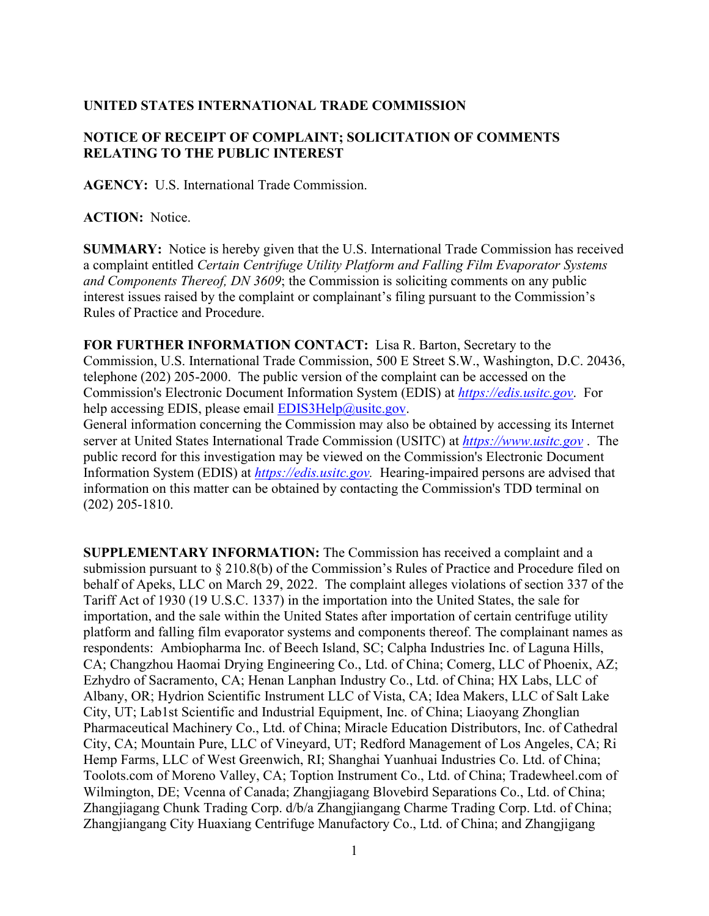## **UNITED STATES INTERNATIONAL TRADE COMMISSION**

## **NOTICE OF RECEIPT OF COMPLAINT; SOLICITATION OF COMMENTS RELATING TO THE PUBLIC INTEREST**

**AGENCY:** U.S. International Trade Commission.

**ACTION:** Notice.

**SUMMARY:** Notice is hereby given that the U.S. International Trade Commission has received a complaint entitled *Certain Centrifuge Utility Platform and Falling Film Evaporator Systems and Components Thereof, DN 3609*; the Commission is soliciting comments on any public interest issues raised by the complaint or complainant's filing pursuant to the Commission's Rules of Practice and Procedure.

**FOR FURTHER INFORMATION CONTACT:** Lisa R. Barton, Secretary to the Commission, U.S. International Trade Commission, 500 E Street S.W., Washington, D.C. 20436, telephone (202) 205-2000. The public version of the complaint can be accessed on the Commission's Electronic Document Information System (EDIS) at *[https://edis.usitc.gov](https://edis.usitc.gov/)*. For help accessing EDIS, please email [EDIS3Help@usitc.gov.](mailto:EDIS3Help@usitc.gov)

General information concerning the Commission may also be obtained by accessing its Internet server at United States International Trade Commission (USITC) at *[https://www.usitc.gov](https://www.usitc.gov/)* . The public record for this investigation may be viewed on the Commission's Electronic Document Information System (EDIS) at *[https://edis.usitc.gov.](https://edis.usitc.gov/)* Hearing-impaired persons are advised that information on this matter can be obtained by contacting the Commission's TDD terminal on (202) 205-1810.

**SUPPLEMENTARY INFORMATION:** The Commission has received a complaint and a submission pursuant to § 210.8(b) of the Commission's Rules of Practice and Procedure filed on behalf of Apeks, LLC on March 29, 2022. The complaint alleges violations of section 337 of the Tariff Act of 1930 (19 U.S.C. 1337) in the importation into the United States, the sale for importation, and the sale within the United States after importation of certain centrifuge utility platform and falling film evaporator systems and components thereof. The complainant names as respondents: Ambiopharma Inc. of Beech Island, SC; Calpha Industries Inc. of Laguna Hills, CA; Changzhou Haomai Drying Engineering Co., Ltd. of China; Comerg, LLC of Phoenix, AZ; Ezhydro of Sacramento, CA; Henan Lanphan Industry Co., Ltd. of China; HX Labs, LLC of Albany, OR; Hydrion Scientific Instrument LLC of Vista, CA; Idea Makers, LLC of Salt Lake City, UT; Lab1st Scientific and Industrial Equipment, Inc. of China; Liaoyang Zhonglian Pharmaceutical Machinery Co., Ltd. of China; Miracle Education Distributors, Inc. of Cathedral City, CA; Mountain Pure, LLC of Vineyard, UT; Redford Management of Los Angeles, CA; Ri Hemp Farms, LLC of West Greenwich, RI; Shanghai Yuanhuai Industries Co. Ltd. of China; Toolots.com of Moreno Valley, CA; Toption Instrument Co., Ltd. of China; Tradewheel.com of Wilmington, DE; Vcenna of Canada; Zhangjiagang Blovebird Separations Co., Ltd. of China; Zhangjiagang Chunk Trading Corp. d/b/a Zhangjiangang Charme Trading Corp. Ltd. of China; Zhangjiangang City Huaxiang Centrifuge Manufactory Co., Ltd. of China; and Zhangjigang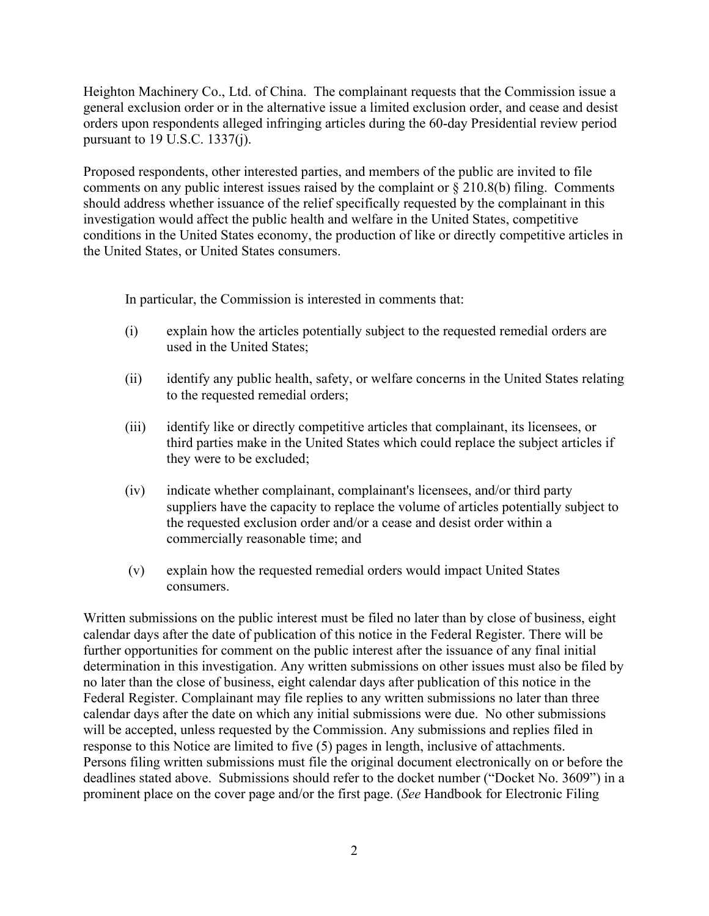Heighton Machinery Co., Ltd. of China. The complainant requests that the Commission issue a general exclusion order or in the alternative issue a limited exclusion order, and cease and desist orders upon respondents alleged infringing articles during the 60-day Presidential review period pursuant to 19 U.S.C. 1337(j).

Proposed respondents, other interested parties, and members of the public are invited to file comments on any public interest issues raised by the complaint or § 210.8(b) filing. Comments should address whether issuance of the relief specifically requested by the complainant in this investigation would affect the public health and welfare in the United States, competitive conditions in the United States economy, the production of like or directly competitive articles in the United States, or United States consumers.

In particular, the Commission is interested in comments that:

- (i) explain how the articles potentially subject to the requested remedial orders are used in the United States;
- (ii) identify any public health, safety, or welfare concerns in the United States relating to the requested remedial orders;
- (iii) identify like or directly competitive articles that complainant, its licensees, or third parties make in the United States which could replace the subject articles if they were to be excluded;
- (iv) indicate whether complainant, complainant's licensees, and/or third party suppliers have the capacity to replace the volume of articles potentially subject to the requested exclusion order and/or a cease and desist order within a commercially reasonable time; and
- (v) explain how the requested remedial orders would impact United States consumers.

Written submissions on the public interest must be filed no later than by close of business, eight calendar days after the date of publication of this notice in the Federal Register. There will be further opportunities for comment on the public interest after the issuance of any final initial determination in this investigation. Any written submissions on other issues must also be filed by no later than the close of business, eight calendar days after publication of this notice in the Federal Register. Complainant may file replies to any written submissions no later than three calendar days after the date on which any initial submissions were due. No other submissions will be accepted, unless requested by the Commission. Any submissions and replies filed in response to this Notice are limited to five (5) pages in length, inclusive of attachments. Persons filing written submissions must file the original document electronically on or before the deadlines stated above. Submissions should refer to the docket number ("Docket No. 3609") in a prominent place on the cover page and/or the first page. (*See* Handbook for Electronic Filing